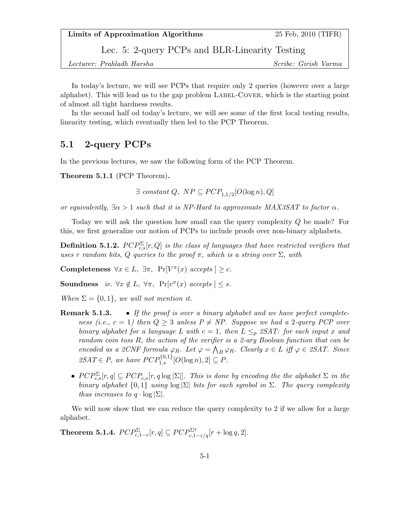Lec. 5: 2-query PCPs and BLR-Linearity Testing

Lecturer: Prahladh Harsha Scribe: Girish Varma

In today's lecture, we will see PCPs that require only 2 queries (however over a large alphabet). This will lead us to the gap problem LABEL-COVER, which is the starting point of almost all tight hardness results.

In the second half od today's lecture, we will see some of the first local testing results, linearity testing, which eventually then led to the PCP Theorem.

## 5.1 2-query PCPs

In the previous lectures, we saw the following form of the PCP Theorem.

Theorem 5.1.1 (PCP Theorem).

 $\exists$  constant  $Q$ ,  $NP \subseteq PCP_{1,1/2}[O(\log n), Q]$ 

or equivalently,  $\exists \alpha > 1$  such that it is NP-Hard to approximate MAX3SAT to factor  $\alpha$ .

Today we will ask the question how small can the query complexity Q be made? For this, we first generalize our notion of PCPs to include proofs over non-binary alphabets.

**Definition 5.1.2.**  $PCP_{c,s}^{\Sigma}[r,Q]$  is the class of languages that have restricted verifiers that uses r random bits, Q queries to the proof  $\pi$ , which is a string over  $\Sigma$ , with

Completeness  $\forall x \in L$ ,  $\exists \pi$ ,  $\Pr[V^{\pi}(x) \text{ accepts } \geq c$ .

Soundness *ie.*  $\forall x \notin L$ ,  $\forall \pi$ ,  $\Pr[v^{\pi}(x) \text{ accepts }] \leq s$ .

When  $\Sigma = \{0, 1\}$ , we will not mention it.

- **Remark 5.1.3.** If the proof is over a binary alphabet and we have perfect completeness (i.e.,  $c = 1$ ) then  $Q \geq 3$  unless  $P \neq NP$ . Suppose we had a 2-query PCP over binary alphabet for a language L with  $c = 1$ , then  $L \leq p$  2SAT: for each input x and random coin toss R, the action of the verifier is a 2-ary Boolean function that can be encoded as a 2CNF formula  $\varphi_R$ . Let  $\varphi = \bigwedge_R \varphi_R$ . Clearly  $x \in L$  iff  $\varphi \in \mathcal{L}SAT$ . Since  $2SAT \in P$ , we have  $PCP_{1,s}^{\{0,1\}}[O(\log n),2] \subseteq P$ .
	- $PCP_{c,s}^{\Sigma}[r,q] \subseteq PCP_{c,s}[r,q\log|\Sigma|]$ . This is done by encoding the the alphabet  $\Sigma$  in the binary alphabet  $\{0,1\}$  using  $\log |\Sigma|$  bits for each symbol in  $\Sigma$ . The query complexity thus increases to  $q \cdot \log |\Sigma|$ .

We will now show that we can reduce the query complexity to 2 if we allow for a large alphabet.

**Theorem 5.1.4.**  $PCP_{c,1-\varepsilon}^{\Sigma}[r,q] \subseteq PCP_{c,1-\varepsilon/q}^{\Sigma^{q}}[r+\log q,2].$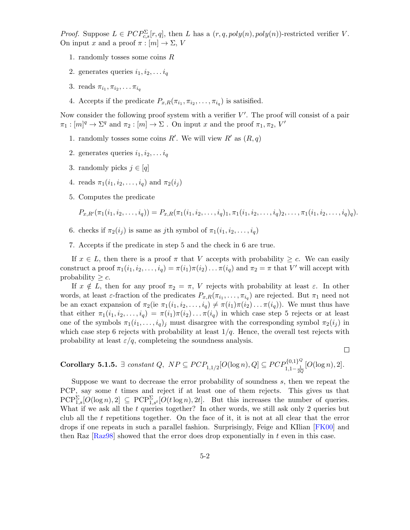*Proof.* Suppose  $L \in PCP_{c,s}^{\Sigma}[r,q]$ , then L has a  $(r,q,poly(n),poly(n))$ -restricted verifier V. On input x and a proof  $\pi : [m] \to \Sigma$ , V

- 1. randomly tosses some coins R
- 2. generates queries  $i_1, i_2, \ldots i_q$
- 3. reads  $\pi_{i_1}, \pi_{i_2}, \ldots \pi_{i_q}$
- 4. Accepts if the predicate  $P_{x,R}(\pi_{i_1}, \pi_{i_2}, \ldots, \pi_{i_q})$  is satisfied.

Now consider the following proof system with a verifier  $V'$ . The proof will consist of a pair  $\pi_1: [m]^q \to \Sigma^q$  and  $\pi_2: [m] \to \Sigma$ . On input x and the proof  $\pi_1, \pi_2, V'$ 

- 1. randomly tosses some coins R'. We will view R' as  $(R, q)$
- 2. generates queries  $i_1, i_2, \ldots i_q$
- 3. randomly picks  $j \in [q]$
- 4. reads  $\pi_1(i_1, i_2, \ldots, i_q)$  and  $\pi_2(i_i)$
- 5. Computes the predicate

$$
P_{x,R'}(\pi_1(i_1,i_2,\ldots,i_q)) = P_{x,R}(\pi_1(i_1,i_2,\ldots,i_q)_1, \pi_1(i_1,i_2,\ldots,i_q)_2, \ldots, \pi_1(i_1,i_2,\ldots,i_q)_q).
$$

- 6. checks if  $\pi_2(i_j)$  is same as jth symbol of  $\pi_1(i_1, i_2, \ldots, i_q)$
- 7. Accepts if the predicate in step 5 and the check in 6 are true.

If  $x \in L$ , then there is a proof  $\pi$  that V accepts with probability  $\geq c$ . We can easily construct a proof  $\pi_1(i_1, i_2, \ldots, i_q) = \pi(i_1)\pi(i_2)\ldots \pi(i_q)$  and  $\pi_2 = \pi$  that V' will accept with probability  $\geq c$ .

If  $x \notin L$ , then for any proof  $\pi_2 = \pi$ , V rejects with probability at least  $\varepsilon$ . In other words, at least  $\varepsilon$ -fraction of the predicates  $P_{x,R}(\pi_{i_1},\ldots,\pi_{i_q})$  are rejected. But  $\pi_1$  need not be an exact expansion of  $\pi_2$  (ie  $\pi_1(i_1, i_2, \ldots, i_q) \neq \pi(i_1)\pi(i_2)\ldots \pi(i_q)$ ). We must thus have that either  $\pi_1(i_1, i_2, \ldots, i_q) = \pi(i_1)\pi(i_2)\ldots \pi(i_q)$  in which case step 5 rejects or at least one of the symbols  $\pi_1(i_1,\ldots,i_q)_j$  must disargree with the corresponding symbol  $\pi_2(i_j)$  in which case step 6 rejects with probability at least  $1/q$ . Hence, the overall test rejects with probability at least  $\varepsilon/q$ , completeing the soundness analysis.

 $\Box$ 

**Corollary 5.1.5.** 
$$
\exists
$$
 constant Q,  $NP \subseteq PCP_{1,1/2}[O(\log n), Q] \subseteq PCP_{1,1-\frac{1}{2Q}}^{\{0,1\}^Q}[O(\log n), 2].$ 

Suppose we want to decrease the error probability of soundness s, then we repeat the PCP, say some  $t$  times and reject if at least one of them rejects. This gives us that  $PCP^{\Sigma}_{1,s}[O(\log n),2] \subseteq PCP^{\Sigma}_{1,s^t}[O(t \log n), 2t].$  But this increases the number of queries. What if we ask all the t queries together? In other words, we still ask only 2 queries but club all the  $t$  repetitions together. On the face of it, it is not at all clear that the error drops if one repeats in such a parallel fashion. Surprisingly, Feige and KIlian [\[FK00\]](#page-5-0) and then Raz  $[Raz98]$  showed that the error does drop exponentially in t even in this case.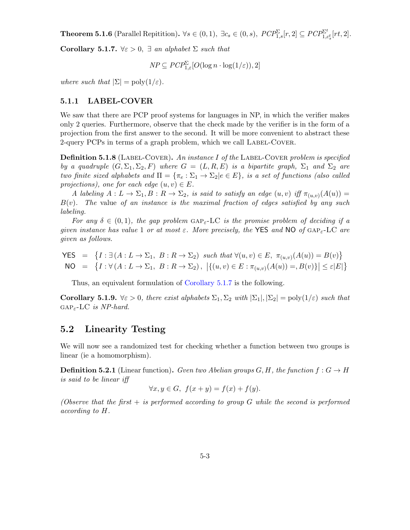**Theorem 5.1.6** (Parallel Repitition).  $\forall s \in (0,1)$ ,  $\exists c_s \in (0,s)$ ,  $PCP^{\Sigma}_{1,s}[r,2] \subseteq PCP^{\Sigma^t}_{1,c_s^t}[rt,2]$ .

<span id="page-2-0"></span>Corollary 5.1.7.  $\forall \varepsilon > 0$ ,  $\exists$  an alphabet  $\Sigma$  such that

$$
NP \subseteq PCP_{1,\varepsilon}^{\Sigma}[O(\log n \cdot \log(1/\varepsilon)), 2]
$$

where such that  $|\Sigma| = \text{poly}(1/\varepsilon)$ .

### 5.1.1 LABEL-COVER

We saw that there are PCP proof systems for languages in NP, in which the verifier makes only 2 queries. Furthermore, observe that the check made by the verifier is in the form of a projection from the first answer to the second. It will be more convenient to abstract these 2-query PCPs in terms of a graph problem, which we call LABEL-COVER.

**Definition 5.1.8** (LABEL-COVER). An instance I of the LABEL-COVER problem is specified by a quadruple  $(G, \Sigma_1, \Sigma_2, F)$  where  $G = (L, R, E)$  is a bipartite graph,  $\Sigma_1$  and  $\Sigma_2$  are two finite sized alphabets and  $\Pi = {\pi_e : \Sigma_1 \to \Sigma_2 | e \in E}$ , is a set of functions (also called projections), one for each edge  $(u, v) \in E$ .

A labeling  $A: L \to \Sigma_1, B: R \to \Sigma_2$ , is said to satisfy an edge  $(u, v)$  iff  $\pi_{(u, v)}(A(u)) =$  $B(v)$ . The value of an instance is the maximal fraction of edges satisfied by any such labeling.

For any  $\delta \in (0,1)$ , the gap problem  $GAP_{\varepsilon}$ -LC is the promise problem of deciding if a given instance has value 1 or at most  $\varepsilon$ . More precisely, the YES and NO of GAP<sub> $\varepsilon$ </sub>-LC are given as follows.

$$
\begin{aligned}\n\text{YES} &= \{I : \exists \,(A: L \to \Sigma_1, \ B: R \to \Sigma_2) \ \text{such that} \ \forall (u, v) \in E, \ \pi_{(u, v)}(A(u)) = B(v)\} \\
\text{NO} &= \{I : \forall \,(A: L \to \Sigma_1, \ B: R \to \Sigma_2), \ |\{(u, v) \in E : \pi_{(u, v)}(A(u)) =, B(v)\}| \leq \varepsilon |E|\}\n\end{aligned}
$$

Thus, an equivalent formulation of [Corollary 5.1.7](#page-2-0) is the following.

Corollary 5.1.9.  $\forall \varepsilon > 0$ , there exist alphabets  $\Sigma_1, \Sigma_2$  with  $|\Sigma_1|, |\Sigma_2| = \text{poly}(1/\varepsilon)$  such that  $GAP<sub>\epsilon</sub>-LC$  is NP-hard.

### 5.2 Linearity Testing

We will now see a randomized test for checking whether a function between two groups is linear (ie a homomorphism).

**Definition 5.2.1** (Linear function). Gven two Abelian groups  $G, H$ , the function  $f : G \to H$ is said to be linear iff

$$
\forall x, y \in G, \ f(x+y) = f(x) + f(y).
$$

(Observe that the first  $+$  is performed according to group G while the second is performed according to H.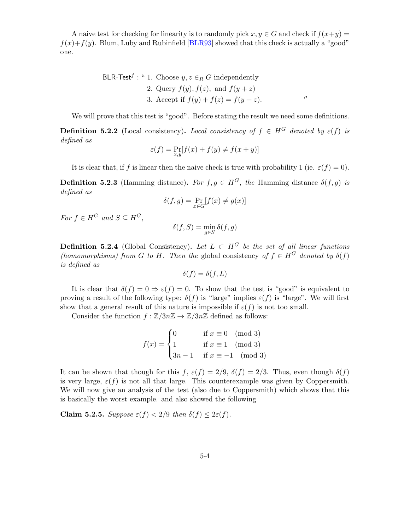A naive test for checking for linearity is to randomly pick  $x, y \in G$  and check if  $f(x+y) =$  $f(x)+f(y)$ . Blum, Luby and Rubinfield [\[BLR93\]](#page-5-2) showed that this check is actually a "good" one.

BLR-Test<sup>f</sup>: " 1. Choose 
$$
y, z \in_R G
$$
 independently  
2. Query  $f(y), f(z),$  and  $f(y + z)$   
3. Accept if  $f(y) + f(z) = f(y + z)$ .

We will prove that this test is "good". Before stating the result we need some definitions.

**Definition 5.2.2** (Local consistency). Local consistency of  $f \in H^G$  denoted by  $\varepsilon(f)$  is defined as

$$
\varepsilon(f) = \Pr_{x,y}[f(x) + f(y) \neq f(x+y)]
$$

It is clear that, if f is linear then the naive check is true with probability 1 (ie.  $\varepsilon(f) = 0$ ).

**Definition 5.2.3** (Hamming distance). For  $f, g \in H^G$ , the Hamming distance  $\delta(f, g)$  is defined as

$$
\delta(f,g) = \Pr_{x \in G} [f(x) \neq g(x)]
$$

For  $f \in H^G$  and  $S \subset H^G$ .

$$
\delta(f,S)=\min_{g\in S}\delta(f,g)
$$

**Definition 5.2.4** (Global Consistency). Let  $L \subset H^G$  be the set of all linear functions (homomorphisms) from G to H. Then the global consistency of  $f \in H^G$  denoted by  $\delta(f)$ is defined as

$$
\delta(f) = \delta(f, L)
$$

It is clear that  $\delta(f) = 0 \Rightarrow \varepsilon(f) = 0$ . To show that the test is "good" is equivalent to proving a result of the following type:  $\delta(f)$  is "large" implies  $\varepsilon(f)$  is "large". We will first show that a general result of this nature is impossible if  $\varepsilon(f)$  is not too small.

Consider the function  $f : \mathbb{Z}/3n\mathbb{Z} \to \mathbb{Z}/3n\mathbb{Z}$  defined as follows:

$$
f(x) = \begin{cases} 0 & \text{if } x \equiv 0 \pmod{3} \\ 1 & \text{if } x \equiv 1 \pmod{3} \\ 3n - 1 & \text{if } x \equiv -1 \pmod{3} \end{cases}
$$

It can be shown that though for this f,  $\varepsilon(f) = 2/9$ ,  $\delta(f) = 2/3$ . Thus, even though  $\delta(f)$ is very large,  $\varepsilon(f)$  is not all that large. This counterexample was given by Coppersmith. We will now give an analysis of the test (also due to Coppersmith) which shows that this is basically the worst example. and also showed the following

Claim 5.2.5. Suppose  $\varepsilon(f) < 2/9$  then  $\delta(f) \leq 2\varepsilon(f)$ .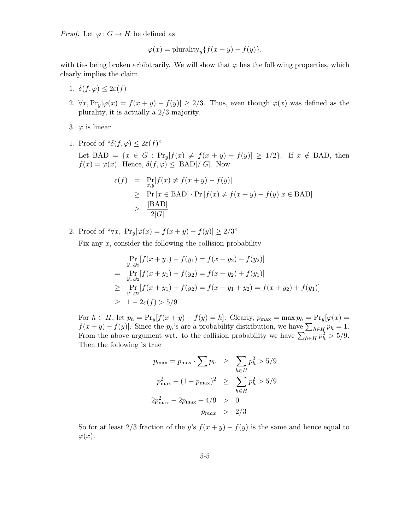*Proof.* Let  $\varphi: G \to H$  be defined as

$$
\varphi(x) = \text{plurality}_{y} \{ f(x+y) - f(y) \},
$$

with ties being broken arbibtrarily. We will show that  $\varphi$  has the following properties, which clearly implies the claim.

- 1.  $\delta(f, \varphi) \leq 2\varepsilon(f)$
- 2.  $\forall x, \text{Pr}_y[\varphi(x) = f(x+y) f(y)] \geq 2/3$ . Thus, even though  $\varphi(x)$  was defined as the plurality, it is actually a 2/3-majority.
- 3.  $\varphi$  is linear
- 1. Proof of " $\delta(f, \varphi) \leq 2\varepsilon(f)$ "

Let BAD =  $\{x \in G : \Pr_y[f(x) \neq f(x + y) - f(y)] \geq 1/2\}$ . If  $x \notin$  BAD, then  $f(x) = \varphi(x)$ . Hence,  $\delta(f, \varphi) \leq |\text{BAD}|/|G|$ . Now

$$
\varepsilon(f) = \Pr_{x,y}[f(x) \neq f(x+y) - f(y)]
$$
  
\n
$$
\geq \Pr_{x \in \text{BAD}}[x \in \text{BAD}] \cdot \Pr_{x \in \text{BAD}}[f(x) \neq f(x+y) - f(y)|x \in \text{BAD}]
$$
  
\n
$$
\geq \frac{|\text{BAD}|}{2|G|}
$$

2. Proof of " $\forall x$ , Pr<sub>y</sub>[ $\varphi(x) = f(x+y) - f(y)$ ] ≥ 2/3"

Fix any  $x$ , consider the following the collision probability

$$
\Pr_{y_1, y_2} [f(x + y_1) - f(y_1) = f(x + y_2) - f(y_2)]
$$
\n
$$
= \Pr_{y_1, y_2} [f(x + y_1) + f(y_2) = f(x + y_2) + f(y_1)]
$$
\n
$$
\geq \Pr_{y_1, y_2} [f(x + y_1) + f(y_2) = f(x + y_1 + y_2) = f(x + y_2) + f(y_1)]
$$
\n
$$
\geq 1 - 2\varepsilon(f) > 5/9
$$

For  $h \in H$ , let  $p_h = Pr_y[f(x + y) - f(y) = h]$ . Clearly,  $p_{\text{max}} = \max p_h = Pr_y[\varphi(x) = h]$ .  $f(x+y) - f(y)$ . Since the  $p_h$ 's are a probability distribution, we have  $\sum_{h \in H} p_h = 1$ . From the above argument wrt. to the collision probability we have  $\sum_{h\in H} p_h^2 > 5/9$ . Then the following is true

$$
p_{\max} = p_{\max} \cdot \sum p_h \ge \sum_{h \in H} p_h^2 > 5/9
$$
  

$$
p_{\max}^2 + (1 - p_{\max})^2 \ge \sum_{h \in H} p_h^2 > 5/9
$$
  

$$
2p_{\max}^2 - 2p_{\max} + 4/9 > 0
$$
  

$$
p_{\max} > 2/3
$$

So for at least 2/3 fraction of the y's  $f(x + y) - f(y)$  is the same and hence equal to  $\varphi(x)$ .